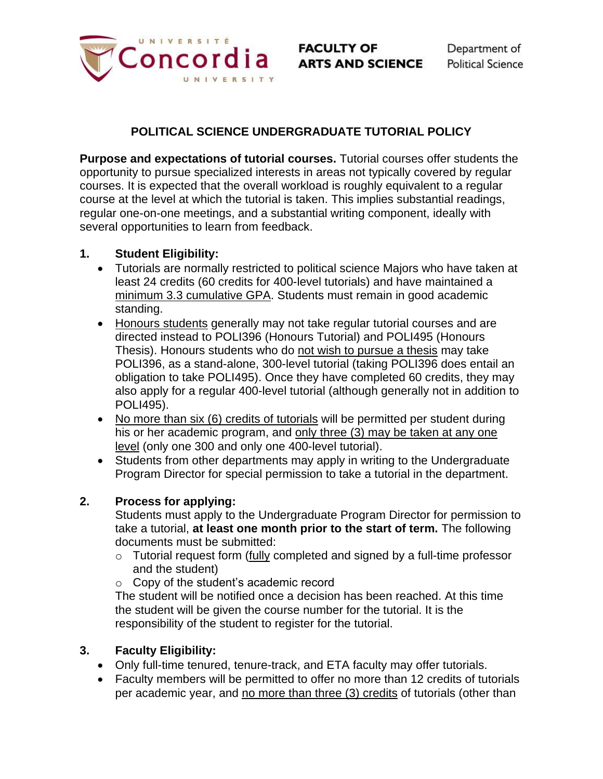

# **POLITICAL SCIENCE UNDERGRADUATE TUTORIAL POLICY**

**Purpose and expectations of tutorial courses.** Tutorial courses offer students the opportunity to pursue specialized interests in areas not typically covered by regular courses. It is expected that the overall workload is roughly equivalent to a regular course at the level at which the tutorial is taken. This implies substantial readings, regular one-on-one meetings, and a substantial writing component, ideally with several opportunities to learn from feedback.

## **1. Student Eligibility:**

- Tutorials are normally restricted to political science Majors who have taken at least 24 credits (60 credits for 400-level tutorials) and have maintained a minimum 3.3 cumulative GPA. Students must remain in good academic standing.
- Honours students generally may not take regular tutorial courses and are directed instead to POLI396 (Honours Tutorial) and POLI495 (Honours Thesis). Honours students who do not wish to pursue a thesis may take POLI396, as a stand-alone, 300-level tutorial (taking POLI396 does entail an obligation to take POLI495). Once they have completed 60 credits, they may also apply for a regular 400-level tutorial (although generally not in addition to POLI495).
- No more than six (6) credits of tutorials will be permitted per student during his or her academic program, and only three (3) may be taken at any one level (only one 300 and only one 400-level tutorial).
- Students from other departments may apply in writing to the Undergraduate Program Director for special permission to take a tutorial in the department.

## **2. Process for applying:**

Students must apply to the Undergraduate Program Director for permission to take a tutorial, **at least one month prior to the start of term.** The following documents must be submitted:

- $\circ$  Tutorial request form (fully completed and signed by a full-time professor and the student)
- o Copy of the student's academic record

The student will be notified once a decision has been reached. At this time the student will be given the course number for the tutorial. It is the responsibility of the student to register for the tutorial.

### **3. Faculty Eligibility:**

- Only full-time tenured, tenure-track, and ETA faculty may offer tutorials.
- Faculty members will be permitted to offer no more than 12 credits of tutorials per academic year, and no more than three (3) credits of tutorials (other than